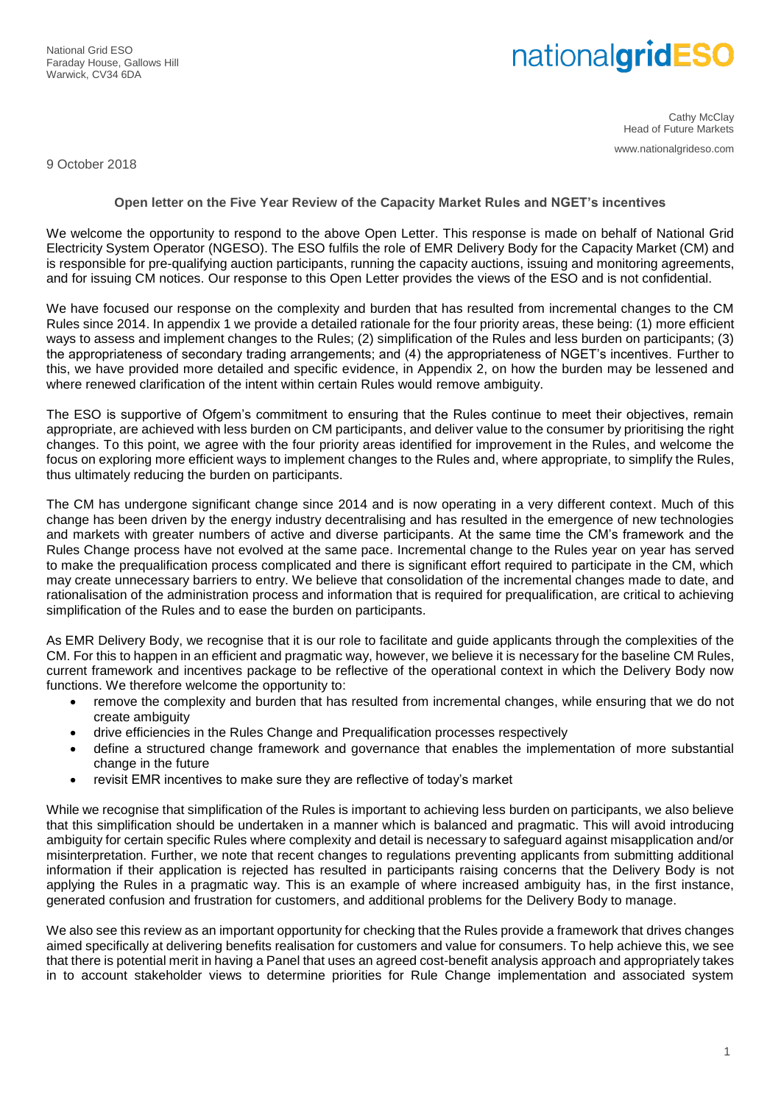National Grid ESO Faraday House, Gallows Hill Warwick, CV34 6DA

# nationalgridESO

Cathy McClay Head of Future Markets www.nationalgrideso.com

9 October 2018

**Open letter on the Five Year Review of the Capacity Market Rules and NGET's incentives**

We welcome the opportunity to respond to the above Open Letter. This response is made on behalf of National Grid Electricity System Operator (NGESO). The ESO fulfils the role of EMR Delivery Body for the Capacity Market (CM) and is responsible for pre-qualifying auction participants, running the capacity auctions, issuing and monitoring agreements, and for issuing CM notices. Our response to this Open Letter provides the views of the ESO and is not confidential.

We have focused our response on the complexity and burden that has resulted from incremental changes to the CM Rules since 2014. In appendix 1 we provide a detailed rationale for the four priority areas, these being: (1) more efficient ways to assess and implement changes to the Rules; (2) simplification of the Rules and less burden on participants; (3) the appropriateness of secondary trading arrangements; and (4) the appropriateness of NGET's incentives. Further to this, we have provided more detailed and specific evidence, in Appendix 2, on how the burden may be lessened and where renewed clarification of the intent within certain Rules would remove ambiguity.

The ESO is supportive of Ofgem's commitment to ensuring that the Rules continue to meet their objectives, remain appropriate, are achieved with less burden on CM participants, and deliver value to the consumer by prioritising the right changes. To this point, we agree with the four priority areas identified for improvement in the Rules, and welcome the focus on exploring more efficient ways to implement changes to the Rules and, where appropriate, to simplify the Rules, thus ultimately reducing the burden on participants.

The CM has undergone significant change since 2014 and is now operating in a very different context. Much of this change has been driven by the energy industry decentralising and has resulted in the emergence of new technologies and markets with greater numbers of active and diverse participants. At the same time the CM's framework and the Rules Change process have not evolved at the same pace. Incremental change to the Rules year on year has served to make the prequalification process complicated and there is significant effort required to participate in the CM, which may create unnecessary barriers to entry. We believe that consolidation of the incremental changes made to date, and rationalisation of the administration process and information that is required for prequalification, are critical to achieving simplification of the Rules and to ease the burden on participants.

As EMR Delivery Body, we recognise that it is our role to facilitate and guide applicants through the complexities of the CM. For this to happen in an efficient and pragmatic way, however, we believe it is necessary for the baseline CM Rules, current framework and incentives package to be reflective of the operational context in which the Delivery Body now functions. We therefore welcome the opportunity to:

- remove the complexity and burden that has resulted from incremental changes, while ensuring that we do not create ambiguity
- drive efficiencies in the Rules Change and Prequalification processes respectively
- define a structured change framework and governance that enables the implementation of more substantial change in the future
- revisit EMR incentives to make sure they are reflective of today's market

While we recognise that simplification of the Rules is important to achieving less burden on participants, we also believe that this simplification should be undertaken in a manner which is balanced and pragmatic. This will avoid introducing ambiguity for certain specific Rules where complexity and detail is necessary to safeguard against misapplication and/or misinterpretation. Further, we note that recent changes to regulations preventing applicants from submitting additional information if their application is rejected has resulted in participants raising concerns that the Delivery Body is not applying the Rules in a pragmatic way. This is an example of where increased ambiguity has, in the first instance, generated confusion and frustration for customers, and additional problems for the Delivery Body to manage.

We also see this review as an important opportunity for checking that the Rules provide a framework that drives changes aimed specifically at delivering benefits realisation for customers and value for consumers. To help achieve this, we see that there is potential merit in having a Panel that uses an agreed cost-benefit analysis approach and appropriately takes in to account stakeholder views to determine priorities for Rule Change implementation and associated system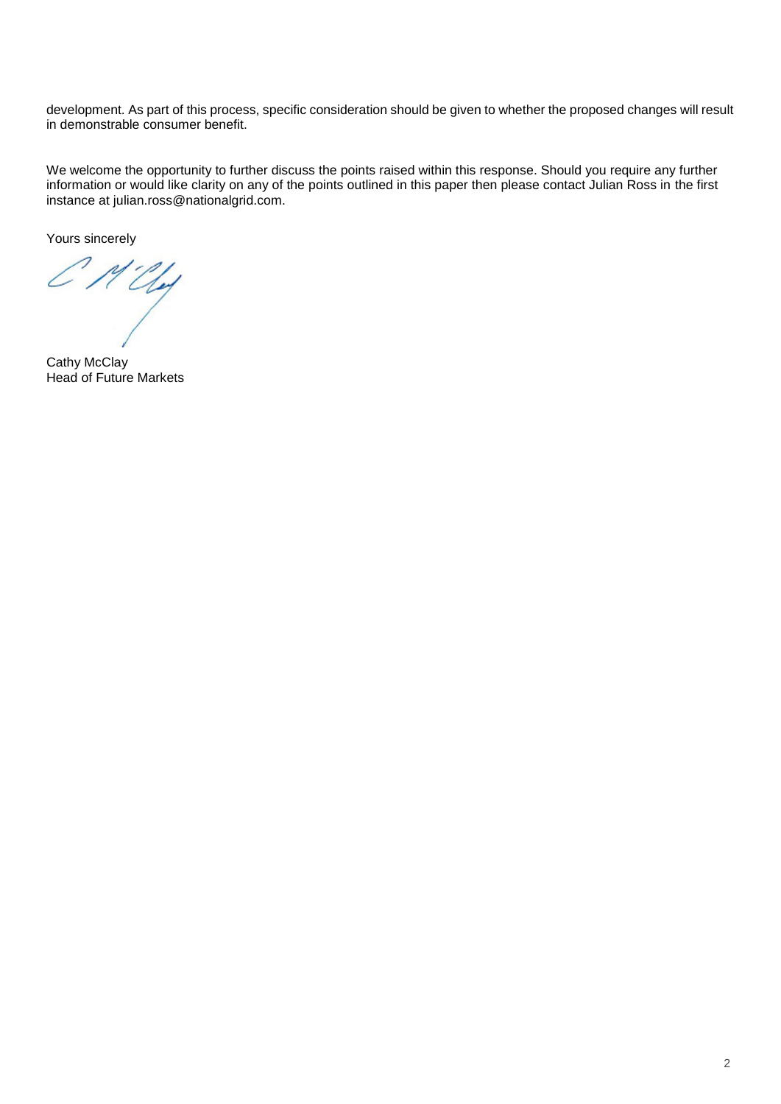development. As part of this process, specific consideration should be given to whether the proposed changes will result in demonstrable consumer benefit.

We welcome the opportunity to further discuss the points raised within this response. Should you require any further information or would like clarity on any of the points outlined in this paper then please contact Julian Ross in the first instance at julian.ross@nationalgrid.com.

Yours sincerely

 $CMU_{\nu}$ 

Cathy McClay Head of Future Markets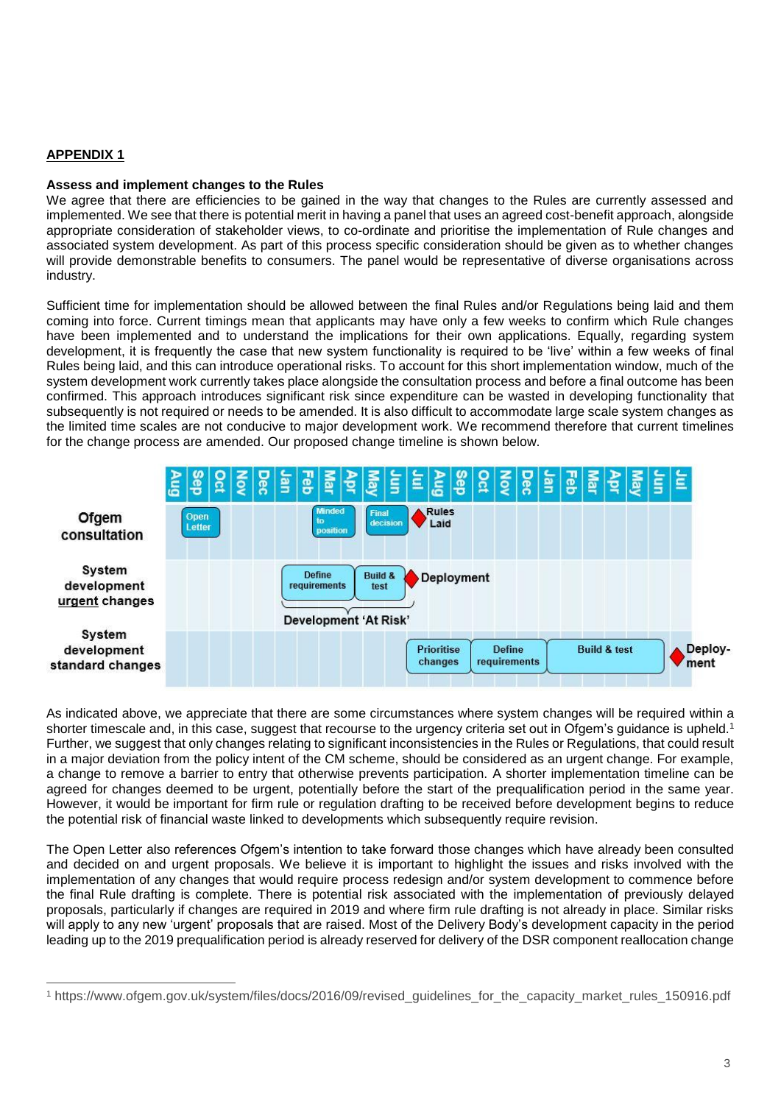# **APPENDIX 1**

 $\overline{a}$ 

## **Assess and implement changes to the Rules**

We agree that there are efficiencies to be gained in the way that changes to the Rules are currently assessed and implemented. We see that there is potential merit in having a panel that uses an agreed cost-benefit approach, alongside appropriate consideration of stakeholder views, to co-ordinate and prioritise the implementation of Rule changes and associated system development. As part of this process specific consideration should be given as to whether changes will provide demonstrable benefits to consumers. The panel would be representative of diverse organisations across industry.

Sufficient time for implementation should be allowed between the final Rules and/or Regulations being laid and them coming into force. Current timings mean that applicants may have only a few weeks to confirm which Rule changes have been implemented and to understand the implications for their own applications. Equally, regarding system development, it is frequently the case that new system functionality is required to be 'live' within a few weeks of final Rules being laid, and this can introduce operational risks. To account for this short implementation window, much of the system development work currently takes place alongside the consultation process and before a final outcome has been confirmed. This approach introduces significant risk since expenditure can be wasted in developing functionality that subsequently is not required or needs to be amended. It is also difficult to accommodate large scale system changes as the limited time scales are not conducive to major development work. We recommend therefore that current timelines for the change process are amended. Our proposed change timeline is shown below.



As indicated above, we appreciate that there are some circumstances where system changes will be required within a shorter timescale and, in this case, suggest that recourse to the urgency criteria set out in Ofgem's quidance is upheld.<sup>1</sup> Further, we suggest that only changes relating to significant inconsistencies in the Rules or Regulations, that could result in a major deviation from the policy intent of the CM scheme, should be considered as an urgent change. For example, a change to remove a barrier to entry that otherwise prevents participation. A shorter implementation timeline can be agreed for changes deemed to be urgent, potentially before the start of the prequalification period in the same year. However, it would be important for firm rule or regulation drafting to be received before development begins to reduce the potential risk of financial waste linked to developments which subsequently require revision.

The Open Letter also references Ofgem's intention to take forward those changes which have already been consulted and decided on and urgent proposals. We believe it is important to highlight the issues and risks involved with the implementation of any changes that would require process redesign and/or system development to commence before the final Rule drafting is complete. There is potential risk associated with the implementation of previously delayed proposals, particularly if changes are required in 2019 and where firm rule drafting is not already in place. Similar risks will apply to any new 'urgent' proposals that are raised. Most of the Delivery Body's development capacity in the period leading up to the 2019 prequalification period is already reserved for delivery of the DSR component reallocation change

<sup>1</sup> https://www.ofgem.gov.uk/system/files/docs/2016/09/revised\_guidelines\_for\_the\_capacity\_market\_rules\_150916.pdf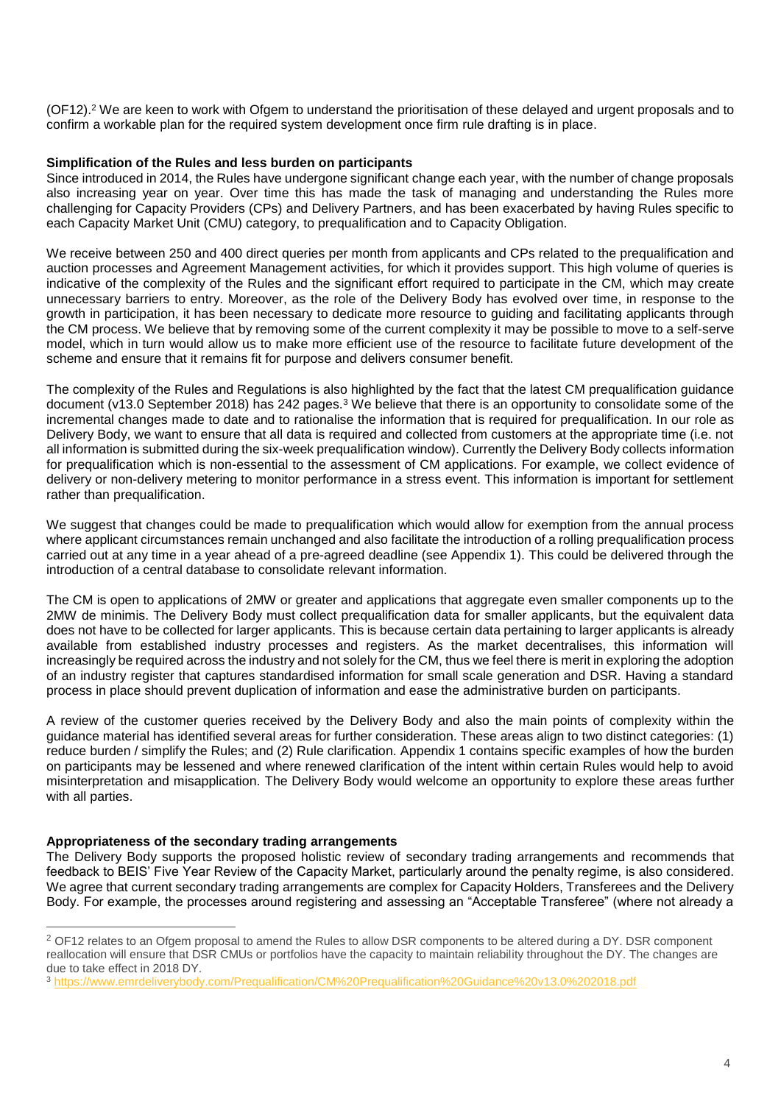(OF12).<sup>2</sup> We are keen to work with Ofgem to understand the prioritisation of these delayed and urgent proposals and to confirm a workable plan for the required system development once firm rule drafting is in place.

# **Simplification of the Rules and less burden on participants**

Since introduced in 2014, the Rules have undergone significant change each year, with the number of change proposals also increasing year on year. Over time this has made the task of managing and understanding the Rules more challenging for Capacity Providers (CPs) and Delivery Partners, and has been exacerbated by having Rules specific to each Capacity Market Unit (CMU) category, to prequalification and to Capacity Obligation.

We receive between 250 and 400 direct queries per month from applicants and CPs related to the prequalification and auction processes and Agreement Management activities, for which it provides support. This high volume of queries is indicative of the complexity of the Rules and the significant effort required to participate in the CM, which may create unnecessary barriers to entry. Moreover, as the role of the Delivery Body has evolved over time, in response to the growth in participation, it has been necessary to dedicate more resource to guiding and facilitating applicants through the CM process. We believe that by removing some of the current complexity it may be possible to move to a self-serve model, which in turn would allow us to make more efficient use of the resource to facilitate future development of the scheme and ensure that it remains fit for purpose and delivers consumer benefit.

The complexity of the Rules and Regulations is also highlighted by the fact that the latest CM prequalification guidance document (v13.0 September 2018) has 242 pages.<sup>3</sup> We believe that there is an opportunity to consolidate some of the incremental changes made to date and to rationalise the information that is required for prequalification. In our role as Delivery Body, we want to ensure that all data is required and collected from customers at the appropriate time (i.e. not all information is submitted during the six-week prequalification window). Currently the Delivery Body collects information for prequalification which is non-essential to the assessment of CM applications. For example, we collect evidence of delivery or non-delivery metering to monitor performance in a stress event. This information is important for settlement rather than prequalification.

We suggest that changes could be made to prequalification which would allow for exemption from the annual process where applicant circumstances remain unchanged and also facilitate the introduction of a rolling prequalification process carried out at any time in a year ahead of a pre-agreed deadline (see Appendix 1). This could be delivered through the introduction of a central database to consolidate relevant information.

The CM is open to applications of 2MW or greater and applications that aggregate even smaller components up to the 2MW de minimis. The Delivery Body must collect prequalification data for smaller applicants, but the equivalent data does not have to be collected for larger applicants. This is because certain data pertaining to larger applicants is already available from established industry processes and registers. As the market decentralises, this information will increasingly be required across the industry and not solely for the CM, thus we feel there is merit in exploring the adoption of an industry register that captures standardised information for small scale generation and DSR. Having a standard process in place should prevent duplication of information and ease the administrative burden on participants.

A review of the customer queries received by the Delivery Body and also the main points of complexity within the guidance material has identified several areas for further consideration. These areas align to two distinct categories: (1) reduce burden / simplify the Rules; and (2) Rule clarification. Appendix 1 contains specific examples of how the burden on participants may be lessened and where renewed clarification of the intent within certain Rules would help to avoid misinterpretation and misapplication. The Delivery Body would welcome an opportunity to explore these areas further with all parties.

## **Appropriateness of the secondary trading arrangements**

 $\overline{a}$ 

The Delivery Body supports the proposed holistic review of secondary trading arrangements and recommends that feedback to BEIS' Five Year Review of the Capacity Market, particularly around the penalty regime, is also considered. We agree that current secondary trading arrangements are complex for Capacity Holders, Transferees and the Delivery Body. For example, the processes around registering and assessing an "Acceptable Transferee" (where not already a

<sup>&</sup>lt;sup>2</sup> OF12 relates to an Ofgem proposal to amend the Rules to allow DSR components to be altered during a DY. DSR component reallocation will ensure that DSR CMUs or portfolios have the capacity to maintain reliability throughout the DY. The changes are due to take effect in 2018 DY.

<sup>3</sup> <https://www.emrdeliverybody.com/Prequalification/CM%20Prequalification%20Guidance%20v13.0%202018.pdf>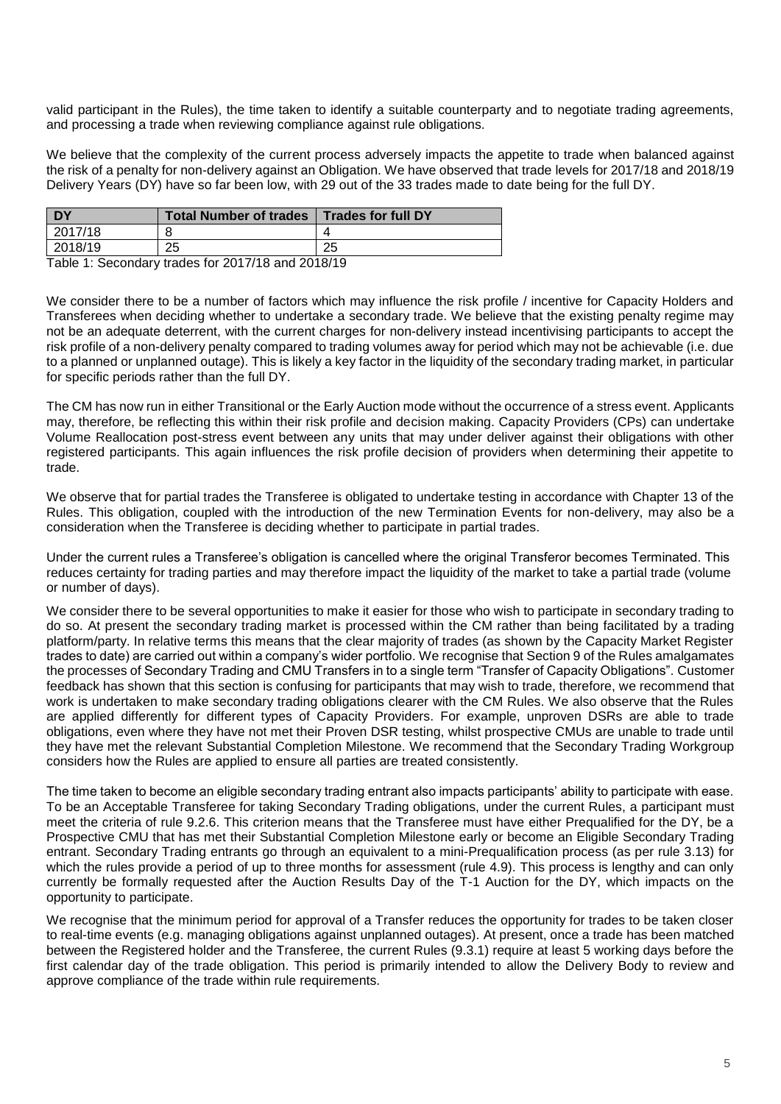valid participant in the Rules), the time taken to identify a suitable counterparty and to negotiate trading agreements, and processing a trade when reviewing compliance against rule obligations.

We believe that the complexity of the current process adversely impacts the appetite to trade when balanced against the risk of a penalty for non-delivery against an Obligation. We have observed that trade levels for 2017/18 and 2018/19 Delivery Years (DY) have so far been low, with 29 out of the 33 trades made to date being for the full DY.

| <b>DY</b> | <b>Total Number of trades</b> | <b>Trades for full DY</b> |
|-----------|-------------------------------|---------------------------|
| 2017/18   |                               |                           |
| 2018/19   | つら<br>ںے                      | つに<br>∠J                  |

Table 1: Secondary trades for 2017/18 and 2018/19

We consider there to be a number of factors which may influence the risk profile / incentive for Capacity Holders and Transferees when deciding whether to undertake a secondary trade. We believe that the existing penalty regime may not be an adequate deterrent, with the current charges for non-delivery instead incentivising participants to accept the risk profile of a non-delivery penalty compared to trading volumes away for period which may not be achievable (i.e. due to a planned or unplanned outage). This is likely a key factor in the liquidity of the secondary trading market, in particular for specific periods rather than the full DY.

The CM has now run in either Transitional or the Early Auction mode without the occurrence of a stress event. Applicants may, therefore, be reflecting this within their risk profile and decision making. Capacity Providers (CPs) can undertake Volume Reallocation post-stress event between any units that may under deliver against their obligations with other registered participants. This again influences the risk profile decision of providers when determining their appetite to trade.

We observe that for partial trades the Transferee is obligated to undertake testing in accordance with Chapter 13 of the Rules. This obligation, coupled with the introduction of the new Termination Events for non-delivery, may also be a consideration when the Transferee is deciding whether to participate in partial trades.

Under the current rules a Transferee's obligation is cancelled where the original Transferor becomes Terminated. This reduces certainty for trading parties and may therefore impact the liquidity of the market to take a partial trade (volume or number of days).

We consider there to be several opportunities to make it easier for those who wish to participate in secondary trading to do so. At present the secondary trading market is processed within the CM rather than being facilitated by a trading platform/party. In relative terms this means that the clear majority of trades (as shown by the Capacity Market Register trades to date) are carried out within a company's wider portfolio. We recognise that Section 9 of the Rules amalgamates the processes of Secondary Trading and CMU Transfers in to a single term "Transfer of Capacity Obligations". Customer feedback has shown that this section is confusing for participants that may wish to trade, therefore, we recommend that work is undertaken to make secondary trading obligations clearer with the CM Rules. We also observe that the Rules are applied differently for different types of Capacity Providers. For example, unproven DSRs are able to trade obligations, even where they have not met their Proven DSR testing, whilst prospective CMUs are unable to trade until they have met the relevant Substantial Completion Milestone. We recommend that the Secondary Trading Workgroup considers how the Rules are applied to ensure all parties are treated consistently.

The time taken to become an eligible secondary trading entrant also impacts participants' ability to participate with ease. To be an Acceptable Transferee for taking Secondary Trading obligations, under the current Rules, a participant must meet the criteria of rule 9.2.6. This criterion means that the Transferee must have either Prequalified for the DY, be a Prospective CMU that has met their Substantial Completion Milestone early or become an Eligible Secondary Trading entrant. Secondary Trading entrants go through an equivalent to a mini-Prequalification process (as per rule 3.13) for which the rules provide a period of up to three months for assessment (rule 4.9). This process is lengthy and can only currently be formally requested after the Auction Results Day of the T-1 Auction for the DY, which impacts on the opportunity to participate.

We recognise that the minimum period for approval of a Transfer reduces the opportunity for trades to be taken closer to real-time events (e.g. managing obligations against unplanned outages). At present, once a trade has been matched between the Registered holder and the Transferee, the current Rules (9.3.1) require at least 5 working days before the first calendar day of the trade obligation. This period is primarily intended to allow the Delivery Body to review and approve compliance of the trade within rule requirements.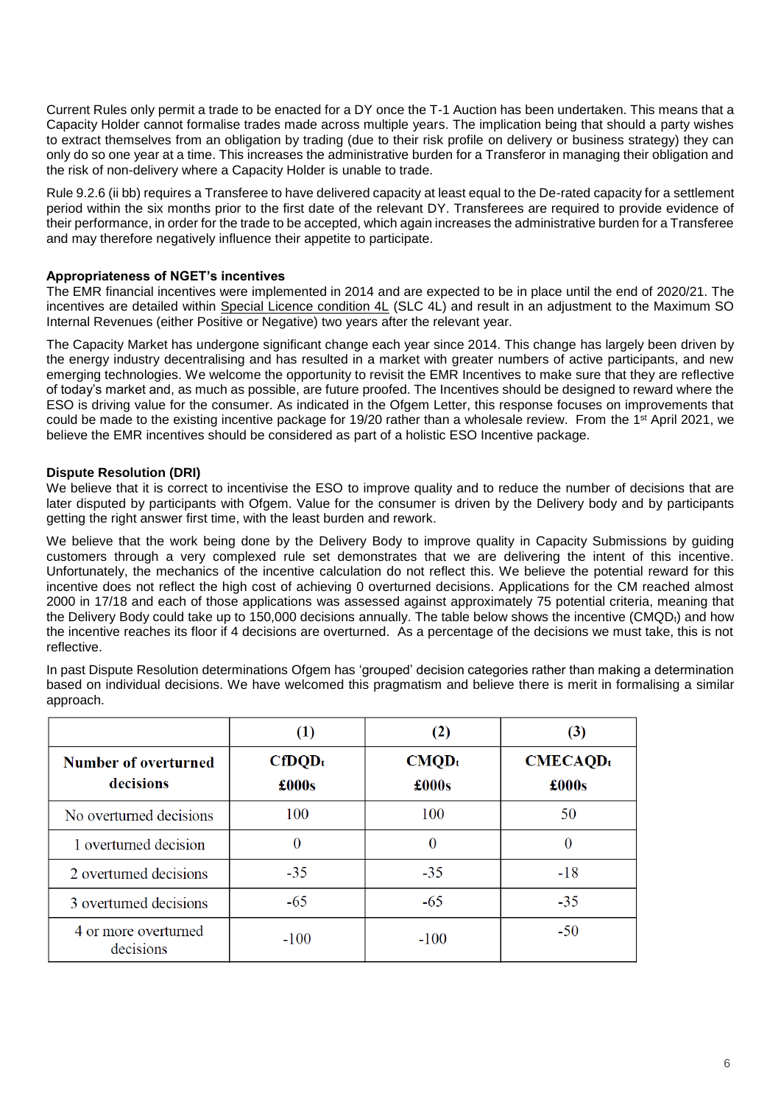Current Rules only permit a trade to be enacted for a DY once the T-1 Auction has been undertaken. This means that a Capacity Holder cannot formalise trades made across multiple years. The implication being that should a party wishes to extract themselves from an obligation by trading (due to their risk profile on delivery or business strategy) they can only do so one year at a time. This increases the administrative burden for a Transferor in managing their obligation and the risk of non-delivery where a Capacity Holder is unable to trade.

Rule 9.2.6 (ii bb) requires a Transferee to have delivered capacity at least equal to the De-rated capacity for a settlement period within the six months prior to the first date of the relevant DY. Transferees are required to provide evidence of their performance, in order for the trade to be accepted, which again increases the administrative burden for a Transferee and may therefore negatively influence their appetite to participate.

# **Appropriateness of NGET's incentives**

The EMR financial incentives were implemented in 2014 and are expected to be in place until the end of 2020/21. The incentives are detailed within [Special Licence condition 4L](https://epr.ofgem.gov.uk/Content/Documents/National%20Grid%20Electricity%20Transmission%20Plc%20-%20Special%20Conditions%20-%20Current%20Version.pdf) (SLC 4L) and result in an adjustment to the Maximum SO Internal Revenues (either Positive or Negative) two years after the relevant year.

The Capacity Market has undergone significant change each year since 2014. This change has largely been driven by the energy industry decentralising and has resulted in a market with greater numbers of active participants, and new emerging technologies. We welcome the opportunity to revisit the EMR Incentives to make sure that they are reflective of today's market and, as much as possible, are future proofed. The Incentives should be designed to reward where the ESO is driving value for the consumer. As indicated in the Ofgem Letter, this response focuses on improvements that could be made to the existing incentive package for 19/20 rather than a wholesale review. From the 1<sup>st</sup> April 2021, we believe the EMR incentives should be considered as part of a holistic ESO Incentive package.

# **Dispute Resolution (DRI)**

We believe that it is correct to incentivise the ESO to improve quality and to reduce the number of decisions that are later disputed by participants with Ofgem. Value for the consumer is driven by the Delivery body and by participants getting the right answer first time, with the least burden and rework.

We believe that the work being done by the Delivery Body to improve quality in Capacity Submissions by quiding customers through a very complexed rule set demonstrates that we are delivering the intent of this incentive. Unfortunately, the mechanics of the incentive calculation do not reflect this. We believe the potential reward for this incentive does not reflect the high cost of achieving 0 overturned decisions. Applications for the CM reached almost 2000 in 17/18 and each of those applications was assessed against approximately 75 potential criteria, meaning that the Delivery Body could take up to 150,000 decisions annually. The table below shows the incentive  $(CMQD_t)$  and how the incentive reaches its floor if 4 decisions are overturned. As a percentage of the decisions we must take, this is not reflective.

In past Dispute Resolution determinations Ofgem has 'grouped' decision categories rather than making a determination based on individual decisions. We have welcomed this pragmatism and believe there is merit in formalising a similar approach.

|                                   | (1)                | (2)               | (3)                           |
|-----------------------------------|--------------------|-------------------|-------------------------------|
| Number of overturned<br>decisions | $CfDQD_t$<br>£000s | $CMQD_t$<br>£000s | CMECAOD <sub>t</sub><br>£000s |
| No overturned decisions           | 100                | 100               | 50                            |
| 1 overturned decision             | $\theta$           | $\overline{0}$    | $\theta$                      |
| 2 overturned decisions            | $-35$              | $-35$             | $-18$                         |
| 3 overtumed decisions             | $-65$              | $-65$             | $-35$                         |
| 4 or more overturned<br>decisions | $-100$             | $-100$            | $-50$                         |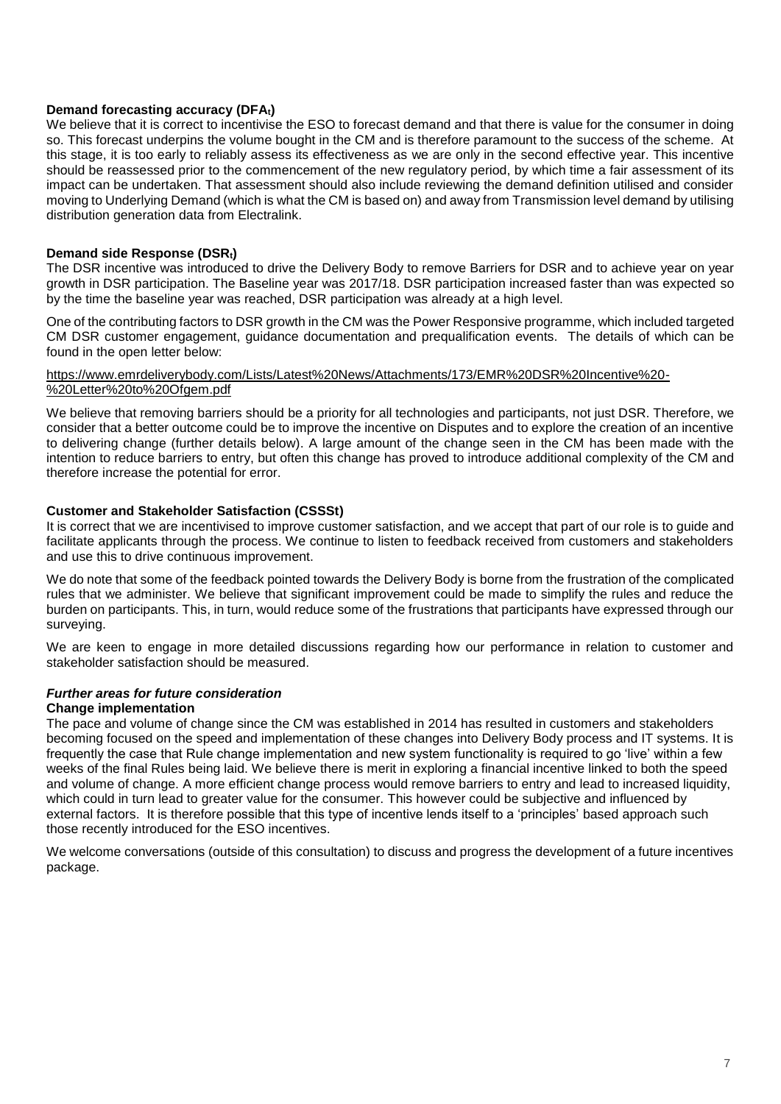# **Demand forecasting accuracy (DFAt)**

We believe that it is correct to incentivise the ESO to forecast demand and that there is value for the consumer in doing so. This forecast underpins the volume bought in the CM and is therefore paramount to the success of the scheme. At this stage, it is too early to reliably assess its effectiveness as we are only in the second effective year. This incentive should be reassessed prior to the commencement of the new regulatory period, by which time a fair assessment of its impact can be undertaken. That assessment should also include reviewing the demand definition utilised and consider moving to Underlying Demand (which is what the CM is based on) and away from Transmission level demand by utilising distribution generation data from Electralink.

# **Demand side Response (DSRt)**

The DSR incentive was introduced to drive the Delivery Body to remove Barriers for DSR and to achieve year on year growth in DSR participation. The Baseline year was 2017/18. DSR participation increased faster than was expected so by the time the baseline year was reached, DSR participation was already at a high level.

One of the contributing factors to DSR growth in the CM was the Power Responsive programme, which included targeted CM DSR customer engagement, guidance documentation and prequalification events. The details of which can be found in the open letter below:

## [https://www.emrdeliverybody.com/Lists/Latest%20News/Attachments/173/EMR%20DSR%20Incentive%20-](https://www.emrdeliverybody.com/Lists/Latest%20News/Attachments/173/EMR%20DSR%20Incentive%20-%20Letter%20to%20Ofgem.pdf) [%20Letter%20to%20Ofgem.pdf](https://www.emrdeliverybody.com/Lists/Latest%20News/Attachments/173/EMR%20DSR%20Incentive%20-%20Letter%20to%20Ofgem.pdf)

We believe that removing barriers should be a priority for all technologies and participants, not just DSR. Therefore, we consider that a better outcome could be to improve the incentive on Disputes and to explore the creation of an incentive to delivering change (further details below). A large amount of the change seen in the CM has been made with the intention to reduce barriers to entry, but often this change has proved to introduce additional complexity of the CM and therefore increase the potential for error.

# **Customer and Stakeholder Satisfaction (CSSSt)**

It is correct that we are incentivised to improve customer satisfaction, and we accept that part of our role is to guide and facilitate applicants through the process. We continue to listen to feedback received from customers and stakeholders and use this to drive continuous improvement.

We do note that some of the feedback pointed towards the Delivery Body is borne from the frustration of the complicated rules that we administer. We believe that significant improvement could be made to simplify the rules and reduce the burden on participants. This, in turn, would reduce some of the frustrations that participants have expressed through our surveying.

We are keen to engage in more detailed discussions regarding how our performance in relation to customer and stakeholder satisfaction should be measured.

# *Further areas for future consideration*

## **Change implementation**

The pace and volume of change since the CM was established in 2014 has resulted in customers and stakeholders becoming focused on the speed and implementation of these changes into Delivery Body process and IT systems. It is frequently the case that Rule change implementation and new system functionality is required to go 'live' within a few weeks of the final Rules being laid. We believe there is merit in exploring a financial incentive linked to both the speed and volume of change. A more efficient change process would remove barriers to entry and lead to increased liquidity, which could in turn lead to greater value for the consumer. This however could be subjective and influenced by external factors. It is therefore possible that this type of incentive lends itself to a 'principles' based approach such those recently introduced for the ESO incentives.

We welcome conversations (outside of this consultation) to discuss and progress the development of a future incentives package.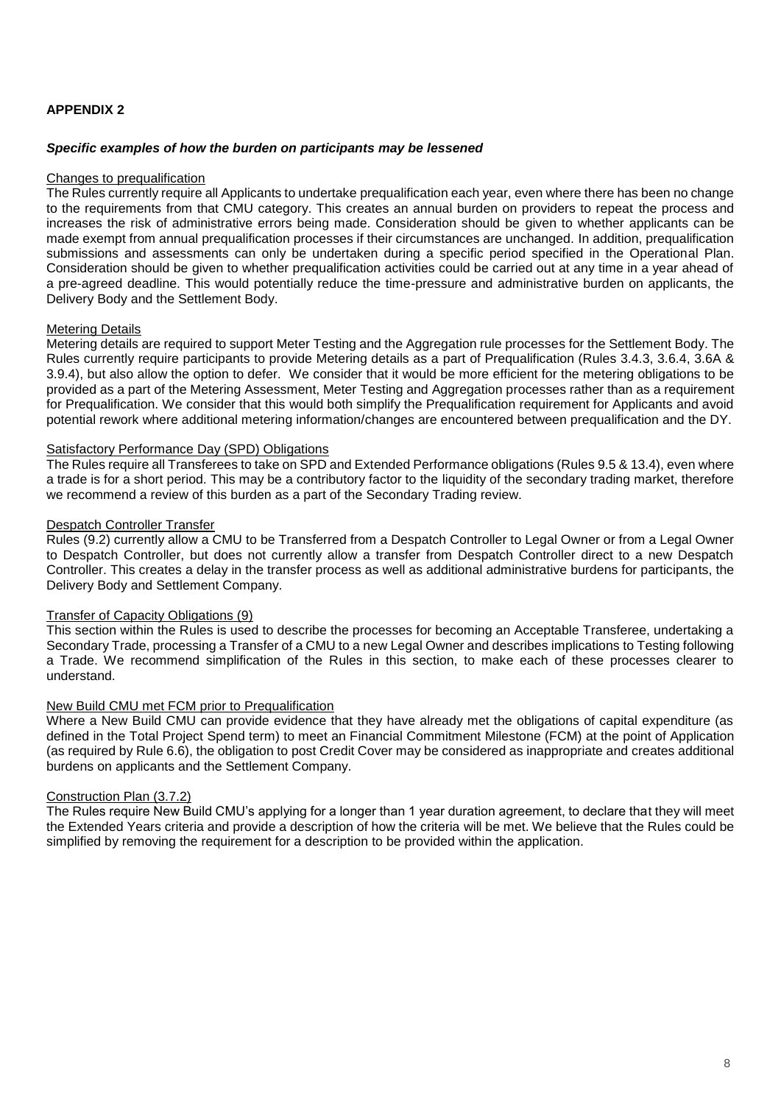# **APPENDIX 2**

## *Specific examples of how the burden on participants may be lessened*

#### Changes to prequalification

The Rules currently require all Applicants to undertake prequalification each year, even where there has been no change to the requirements from that CMU category. This creates an annual burden on providers to repeat the process and increases the risk of administrative errors being made. Consideration should be given to whether applicants can be made exempt from annual prequalification processes if their circumstances are unchanged. In addition, prequalification submissions and assessments can only be undertaken during a specific period specified in the Operational Plan. Consideration should be given to whether prequalification activities could be carried out at any time in a year ahead of a pre-agreed deadline. This would potentially reduce the time-pressure and administrative burden on applicants, the Delivery Body and the Settlement Body.

## Metering Details

Metering details are required to support Meter Testing and the Aggregation rule processes for the Settlement Body. The Rules currently require participants to provide Metering details as a part of Prequalification (Rules 3.4.3, 3.6.4, 3.6A & 3.9.4), but also allow the option to defer. We consider that it would be more efficient for the metering obligations to be provided as a part of the Metering Assessment, Meter Testing and Aggregation processes rather than as a requirement for Prequalification. We consider that this would both simplify the Prequalification requirement for Applicants and avoid potential rework where additional metering information/changes are encountered between prequalification and the DY.

## Satisfactory Performance Day (SPD) Obligations

The Rules require all Transferees to take on SPD and Extended Performance obligations (Rules 9.5 & 13.4), even where a trade is for a short period. This may be a contributory factor to the liquidity of the secondary trading market, therefore we recommend a review of this burden as a part of the Secondary Trading review.

## Despatch Controller Transfer

Rules (9.2) currently allow a CMU to be Transferred from a Despatch Controller to Legal Owner or from a Legal Owner to Despatch Controller, but does not currently allow a transfer from Despatch Controller direct to a new Despatch Controller. This creates a delay in the transfer process as well as additional administrative burdens for participants, the Delivery Body and Settlement Company.

## Transfer of Capacity Obligations (9)

This section within the Rules is used to describe the processes for becoming an Acceptable Transferee, undertaking a Secondary Trade, processing a Transfer of a CMU to a new Legal Owner and describes implications to Testing following a Trade. We recommend simplification of the Rules in this section, to make each of these processes clearer to understand.

#### New Build CMU met FCM prior to Prequalification

Where a New Build CMU can provide evidence that they have already met the obligations of capital expenditure (as defined in the Total Project Spend term) to meet an Financial Commitment Milestone (FCM) at the point of Application (as required by Rule 6.6), the obligation to post Credit Cover may be considered as inappropriate and creates additional burdens on applicants and the Settlement Company.

#### Construction Plan (3.7.2)

The Rules require New Build CMU's applying for a longer than 1 year duration agreement, to declare that they will meet the Extended Years criteria and provide a description of how the criteria will be met. We believe that the Rules could be simplified by removing the requirement for a description to be provided within the application.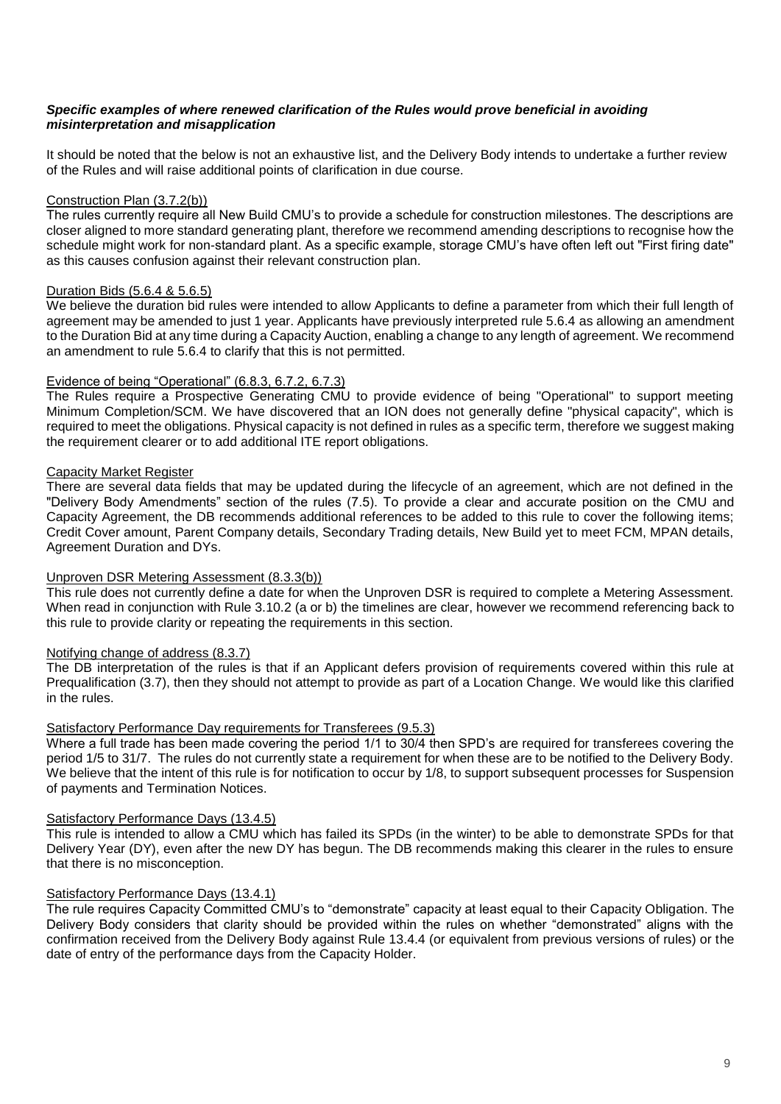# *Specific examples of where renewed clarification of the Rules would prove beneficial in avoiding misinterpretation and misapplication*

It should be noted that the below is not an exhaustive list, and the Delivery Body intends to undertake a further review of the Rules and will raise additional points of clarification in due course.

# Construction Plan (3.7.2(b))

The rules currently require all New Build CMU's to provide a schedule for construction milestones. The descriptions are closer aligned to more standard generating plant, therefore we recommend amending descriptions to recognise how the schedule might work for non-standard plant. As a specific example, storage CMU's have often left out "First firing date" as this causes confusion against their relevant construction plan.

# Duration Bids (5.6.4 & 5.6.5)

We believe the duration bid rules were intended to allow Applicants to define a parameter from which their full length of agreement may be amended to just 1 year. Applicants have previously interpreted rule 5.6.4 as allowing an amendment to the Duration Bid at any time during a Capacity Auction, enabling a change to any length of agreement. We recommend an amendment to rule 5.6.4 to clarify that this is not permitted.

# Evidence of being "Operational" (6.8.3, 6.7.2, 6.7.3)

The Rules require a Prospective Generating CMU to provide evidence of being "Operational" to support meeting Minimum Completion/SCM. We have discovered that an ION does not generally define "physical capacity", which is required to meet the obligations. Physical capacity is not defined in rules as a specific term, therefore we suggest making the requirement clearer or to add additional ITE report obligations.

# Capacity Market Register

There are several data fields that may be updated during the lifecycle of an agreement, which are not defined in the "Delivery Body Amendments" section of the rules (7.5). To provide a clear and accurate position on the CMU and Capacity Agreement, the DB recommends additional references to be added to this rule to cover the following items; Credit Cover amount, Parent Company details, Secondary Trading details, New Build yet to meet FCM, MPAN details, Agreement Duration and DYs.

## Unproven DSR Metering Assessment (8.3.3(b))

This rule does not currently define a date for when the Unproven DSR is required to complete a Metering Assessment. When read in conjunction with Rule 3.10.2 (a or b) the timelines are clear, however we recommend referencing back to this rule to provide clarity or repeating the requirements in this section.

## Notifying change of address (8.3.7)

The DB interpretation of the rules is that if an Applicant defers provision of requirements covered within this rule at Prequalification (3.7), then they should not attempt to provide as part of a Location Change. We would like this clarified in the rules.

## Satisfactory Performance Day requirements for Transferees (9.5.3)

Where a full trade has been made covering the period 1/1 to 30/4 then SPD's are required for transferees covering the period 1/5 to 31/7. The rules do not currently state a requirement for when these are to be notified to the Delivery Body. We believe that the intent of this rule is for notification to occur by 1/8, to support subsequent processes for Suspension of payments and Termination Notices.

## Satisfactory Performance Days (13.4.5)

This rule is intended to allow a CMU which has failed its SPDs (in the winter) to be able to demonstrate SPDs for that Delivery Year (DY), even after the new DY has begun. The DB recommends making this clearer in the rules to ensure that there is no misconception.

## Satisfactory Performance Days (13.4.1)

The rule requires Capacity Committed CMU's to "demonstrate" capacity at least equal to their Capacity Obligation. The Delivery Body considers that clarity should be provided within the rules on whether "demonstrated" aligns with the confirmation received from the Delivery Body against Rule 13.4.4 (or equivalent from previous versions of rules) or the date of entry of the performance days from the Capacity Holder.